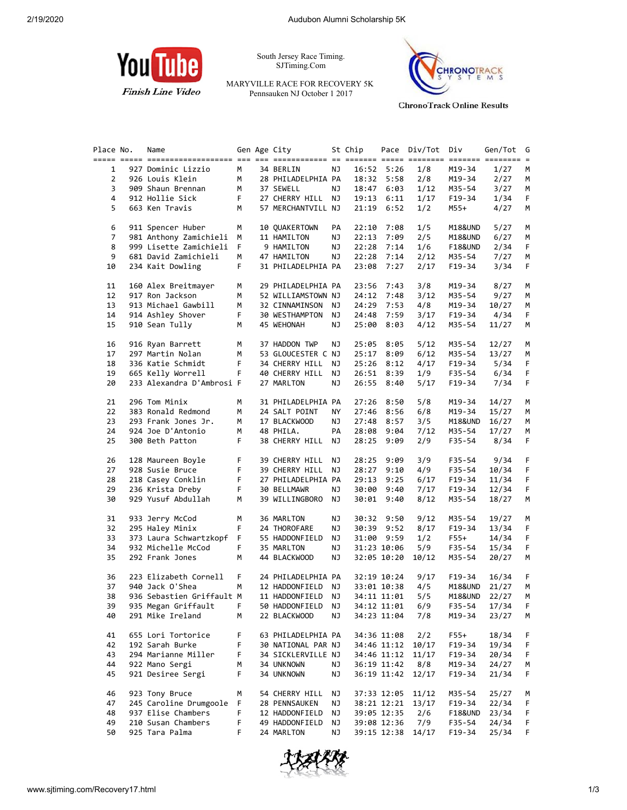

South Jersey Race Timing. SJTiming.Com

MARYVILLE RACE FOR RECOVERY 5K Pennsauken NJ October 1 2017



**ChronoTrack Online Results** 

| Place No.      | Name                      |    | Gen Age City       |    | St Chip |              | Pace Div/Tot | Div      | Gen/Tot | G  |
|----------------|---------------------------|----|--------------------|----|---------|--------------|--------------|----------|---------|----|
|                |                           |    |                    |    |         |              |              |          |         |    |
| 1              | 927 Dominic Lizzio        | М  | 34 BERLIN          | ΝJ |         | 16:52 5:26   | 1/8          | M19-34   | 1/27    | M  |
| $\overline{2}$ | 926 Louis Klein           | М  | 28 PHILADELPHIA PA |    |         | 18:32 5:58   | 2/8          | M19-34   | 2/27    | М  |
| 3              | 909 Shaun Brennan         | M  | 37 SEWELL          | NJ |         | 18:47 6:03   | 1/12         | M35-54   | 3/27    | М  |
| 4              | 912 Hollie Sick           | F. | 27 CHERRY HILL NJ  |    |         | 19:13 6:11   | 1/17         | F19-34   | 1/34    | F. |
| 5              | 663 Ken Travis            | М  | 57 MERCHANTVILL NJ |    |         | $21:19$ 6:52 | 1/2          | M55+     | 4/27    | М  |
|                |                           |    |                    |    |         |              |              |          |         |    |
|                |                           |    |                    |    |         |              |              |          |         |    |
| 6              | 911 Spencer Huber         | М  | 10 QUAKERTOWN      | PA | 22:10   | 7:08         | 1/5          | M18&UND  | 5/27    | М  |
| 7              | 981 Anthony Zamichieli    | м  | 11 HAMILTON        | ΝJ | 22:13   | 7:09         | 2/5          | M18&UND  | 6/27    | М  |
| 8              | 999 Lisette Zamichieli    | F. | 9 HAMILTON         | ΝJ | 22:28   | 7:14         | 1/6          | F18&UND  | 2/34    | F. |
| 9              | 681 David Zamichieli      | M  | 47 HAMILTON        | ΝJ |         | 22:28 7:14   | 2/12         | M35-54   | 7/27    | М  |
| 10             | 234 Kait Dowling          | F. | 31 PHILADELPHIA PA |    |         | 23:08 7:27   | 2/17         | F19-34   | 3/34    | F. |
|                |                           |    |                    |    |         |              |              |          |         |    |
| 11             | 160 Alex Breitmayer       | М  | 29 PHILADELPHIA PA |    | 23:56   | 7:43         | 3/8          | M19-34   | 8/27    | М  |
| 12             | 917 Ron Jackson           | М  | 52 WILLIAMSTOWN NJ |    | 24:12   | 7:48         | 3/12         | M35-54   | 9/27    | M  |
| 13             | 913 Michael Gawbill       | M  | 32 CINNAMINSON NJ  |    | 24:29   | 7:53         | 4/8          | M19-34   | 10/27   | М  |
| 14             | 914 Ashley Shover         | F. | 30 WESTHAMPTON NJ  |    | 24:48   | 7:59         | 3/17         | F19-34   | 4/34    | F. |
| 15             | 910 Sean Tully            | М  | 45 WEHONAH         | ΝJ | 25:00   | 8:03         | 4/12         | M35-54   | 11/27   | М  |
|                |                           |    |                    |    |         |              |              |          |         |    |
| 16             | 916 Ryan Barrett          | М  | 37 HADDON TWP      | ΝJ | 25:05   | 8:05         | 5/12         | M35-54   | 12/27   | M  |
| 17             | 297 Martin Nolan          | М  | 53 GLOUCESTER C NJ |    | 25:17   | 8:09         |              |          | 13/27   |    |
|                |                           |    |                    |    |         |              | 6/12         | M35-54   |         | М  |
| 18             | 336 Katie Schmidt         | F. | 34 CHERRY HILL     | NJ | 25:26   | 8:12         | 4/17         | $F19-34$ | 5/34    | F. |
| 19             | 665 Kelly Worrell         | F. | 40 CHERRY HILL NJ  |    |         | 26:51 8:39   | 1/9          | F35-54   | 6/34    | F. |
| 20             | 233 Alexandra D'Ambrosi F |    | 27 MARLTON         | ΝJ |         | 26:55 8:40   | 5/17         | F19-34   | 7/34    | F. |
|                |                           |    |                    |    |         |              |              |          |         |    |
| 21             | 296 Tom Minix             | М  | 31 PHILADELPHIA PA |    | 27:26   | 8:50         | 5/8          | M19-34   | 14/27   | М  |
| 22             | 383 Ronald Redmond        | М  | 24 SALT POINT      | ΝY | 27:46   | 8:56         | 6/8          | M19-34   | 15/27   | М  |
| 23             | 293 Frank Jones Jr.       | M  | 17 BLACKWOOD       | ΝJ | 27:48   | 8:57         | 3/5          | M18&UND  | 16/27   | М  |
| 24             | 924 Joe D'Antonio         | М  | 48 PHILA.          | PA |         | 28:08 9:04   | 7/12         | M35-54   | 17/27   | М  |
| 25             | 300 Beth Patton           | F. | 38 CHERRY HILL NJ  |    | 28:25   | 9:09         | 2/9          | F35-54   | 8/34    | F. |
|                |                           |    |                    |    |         |              |              |          |         |    |
| 26             | 128 Maureen Boyle         | F. | 39 CHERRY HILL     | NJ |         | 28:25 9:09   | 3/9          | F35-54   | 9/34    | F  |
| 27             | 928 Susie Bruce           | F  | 39 CHERRY HILL NJ  |    | 28:27   | 9:10         | 4/9          | F35-54   | 10/34   | F  |
|                |                           | F  |                    |    | 29:13   |              |              |          |         |    |
| 28             | 218 Casey Conklin         |    | 27 PHILADELPHIA PA |    |         | 9:25         | 6/17         | F19-34   | 11/34   | F  |
| 29             | 236 Krista Dreby          | F. | 30 BELLMAWR        | ΝJ |         | 30:00 9:40   | 7/17         | F19-34   | 12/34   | F. |
| 30             | 929 Yusuf Abdullah        | М  | 39 WILLINGBORO NJ  |    |         | 30:01 9:40   | 8/12         | M35-54   | 18/27   | М  |
|                |                           |    |                    |    |         |              |              |          |         |    |
| 31             | 933 Jerry McCod           | м  | 36 MARLTON         | ΝJ | 30:32   | 9:50         | 9/12         | M35-54   | 19/27   | М  |
| 32             | 295 Haley Minix           | F. | 24 THOROFARE       | ΝJ |         | 30:39 9:52   | 8/17         | F19-34   | 13/34   | F  |
| 33             | 373 Laura Schwartzkopf    | F. | 55 HADDONFIELD     | ΝJ |         | 31:00 9:59   | 1/2          | F55+     | 14/34   | F. |
| 34             | 932 Michelle McCod        | F. | 35 MARLTON         | ΝJ |         | 31:23 10:06  | 5/9          | F35-54   | 15/34   | F. |
| 35             | 292 Frank Jones           | М  | 44 BLACKWOOD       | ΝJ |         | 32:05 10:20  | 10/12        | M35-54   | 20/27   | М  |
|                |                           |    |                    |    |         |              |              |          |         |    |
| 36             | 223 Elizabeth Cornell     | F. | 24 PHILADELPHIA PA |    |         | 32:19 10:24  | 9/17         | F19-34   | 16/34   | F. |
| 37             | 940 Jack O'Shea           | м  | 12 HADDONFIELD NJ  |    |         | 33:01 10:38  | 4/5          | M18&UND  | 21/27   | М  |
| 38             | 936 Sebastien Griffault M |    | 11 HADDONFIELD NJ  |    |         | 34:11 11:01  | 5/5          | M18&UND  | 22/27   | м  |
| 39             | 935 Megan Griffault F     |    | 50 HADDONFIELD NJ  |    |         | 34:12 11:01  | 6/9          | F35-54   | 17/34   | F. |
| 40             | 291 Mike Ireland          | М  | 22 BLACKWOOD       | ΝJ |         | 34:23 11:04  | 7/8          | M19-34   | 23/27   | M  |
|                |                           |    |                    |    |         |              |              |          |         |    |
|                | 655 Lori Tortorice        | F  |                    |    |         |              |              | $F55+$   |         |    |
| 41             |                           |    | 63 PHILADELPHIA PA |    |         | 34:36 11:08  | 2/2          |          | 18/34   | F. |
| 42             | 192 Sarah Burke           | F  | 30 NATIONAL PAR NJ |    |         | 34:46 11:12  | 10/17        | $F19-34$ | 19/34   | F  |
| 43             | 294 Marianne Miller       | F  | 34 SICKLERVILLE NJ |    |         | 34:46 11:12  | 11/17        | F19-34   | 20/34   | F  |
| 44             | 922 Mano Sergi            | м  | 34 UNKNOWN         | ΝJ |         | 36:19 11:42  | 8/8          | M19-34   | 24/27   | М  |
| 45             | 921 Desiree Sergi         | F  | 34 UNKNOWN         | ΝJ |         | 36:19 11:42  | 12/17        | $F19-34$ | 21/34   | F. |
|                |                           |    |                    |    |         |              |              |          |         |    |
| 46             | 923 Tony Bruce            | м  | 54 CHERRY HILL     | ΝJ |         | 37:33 12:05  | 11/12        | M35-54   | 25/27   | М  |
| 47             | 245 Caroline Drumgoole    | F  | 28 PENNSAUKEN      | ΝJ |         | 38:21 12:21  | 13/17        | F19-34   | 22/34   | F  |
| 48             | 937 Elise Chambers        | F  | 12 HADDONFIELD     | ΝJ |         | 39:05 12:35  | 2/6          | F18&UND  | 23/34   | F  |
| 49             | 210 Susan Chambers        | F  | 49 HADDONFIELD     | ΝJ |         | 39:08 12:36  | 7/9          | F35-54   | 24/34   | F  |
| 50             | 925 Tara Palma            | F. | 24 MARLTON         | ΝJ |         | 39:15 12:38  | 14/17        | $F19-34$ | 25/34   | F. |
|                |                           |    |                    |    |         |              |              |          |         |    |

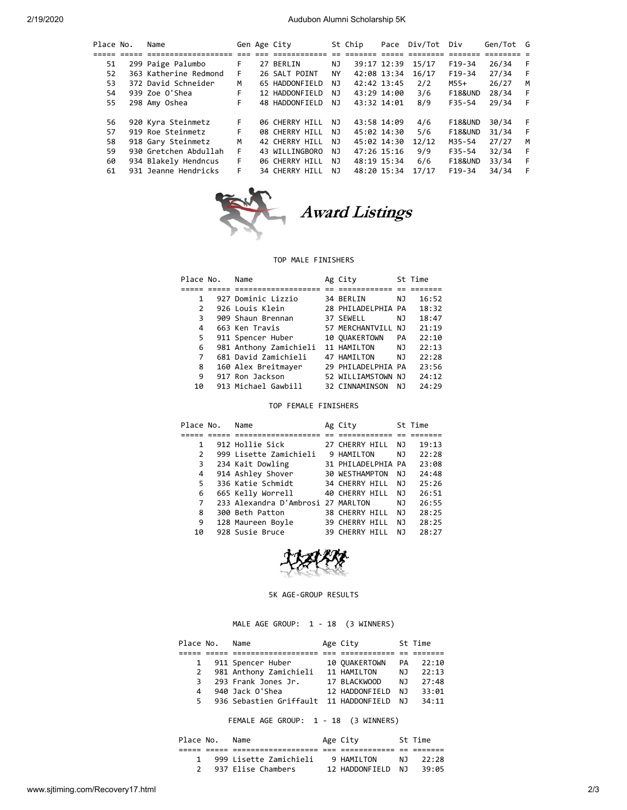| Place No. | Name                  |    | Gen Age City   |           | St Chip | Pace        | Div/Tot Div |                    | Gen/Tot G |     |
|-----------|-----------------------|----|----------------|-----------|---------|-------------|-------------|--------------------|-----------|-----|
|           |                       |    |                |           |         |             |             |                    |           |     |
| 51        | 299 Paige Palumbo     | F. | 27 BERLIN      | ΝJ        |         | 39:17 12:39 | 15/17       | $F19-34$           | 26/34     | - F |
| 52        | 363 Katherine Redmond | F. | 26 SALT POINT  | <b>NY</b> |         | 42:08 13:34 | 16/17       | $F19-34$           | 27/34     | - F |
| 53.       | 372 David Schneider   | м  | 65 HADDONFIELD | NJ.       |         | 42:42 13:45 | 2/2         | M55+               | 26/27     | M   |
| 54        | 939 Zoe O'Shea        | F. | 12 HADDONFIELD | NJ.       |         | 43:29 14:00 | 3/6         | F18&UND            | 28/34     | - F |
| 55        | 298 Amy Oshea         | F. | 48 HADDONFIELD | NJ.       |         | 43:32 14:01 | 8/9         | F35-54             | 29/34     | -F  |
| 56        | 920 Kyra Steinmetz    | F. | 06 CHERRY HILL | NJ        |         | 43:58 14:09 | 4/6         | <b>F18&amp;UND</b> | 30/34     | - F |
| 57        | 919 Roe Steinmetz     | F. | 08 CHERRY HILL | NJ        |         | 45:02 14:30 | 5/6         | F18&UND            | 31/34     | - F |
| 58        | 918 Gary Steinmetz    | M  | 42 CHERRY HILL | NJ        |         | 45:02 14:30 | 12/12       | M35-54             | 27/27     | M   |
| 59        | 930 Gretchen Abdullah | F. | 43 WILLINGBORO | NJ.       |         | 47:26 15:16 | 9/9         | F35-54             | 32/34     | -F  |
| 60        | 934 Blakely Hendncus  | F. | 06 CHERRY HILL | NJ        |         | 48:19 15:34 | 6/6         | F18&UND            | 33/34     | -F  |
| 61        | 931 Jeanne Hendricks  | F. | 34 CHERRY HILL | NJ.       |         | 48:20 15:34 | 17/17       | $F19-34$           | 34/34     | -F  |



## TOP MALE FINISHERS

| Place No.     | Name                   | Ag City            |           | St Time |
|---------------|------------------------|--------------------|-----------|---------|
|               |                        |                    |           |         |
| 1             | 927 Dominic Lizzio     | 34 BERLIN          | ΝJ        | 16:52   |
| $\mathcal{P}$ | 926 Louis Klein        | 28 PHILADELPHIA PA |           | 18:32   |
| 3             | 909 Shaun Brennan      | 37 SEWELL          | NJ        | 18:47   |
| 4             | 663 Ken Travis         | 57 MERCHANTVILL    | N٦        | 21:19   |
| 5             | 911 Spencer Huber      | 10 OUAKERTOWN      | <b>PA</b> | 22:10   |
| 6             | 981 Anthony Zamichieli | 11 HAMILTON        | NJ        | 22:13   |
| 7             | 681 David Zamichieli   | 47 HAMILTON        | NJ        | 22:28   |
| 8             | 160 Alex Breitmayer    | 29 PHILADELPHIA PA |           | 23:56   |
| 9             | 917 Ron Jackson        | 52 WILLIAMSTOWN NJ |           | 24:12   |
| 10            | 913 Michael Gawbill    | 32 CINNAMINSON     | N J       | 24:29   |
|               |                        |                    |           |         |

## TOP FEMALE FINISHERS

| Place No.      | Name                               | Ag City               |     | St Time |
|----------------|------------------------------------|-----------------------|-----|---------|
|                |                                    |                       |     |         |
| 1              | 912 Hollie Sick                    | 27 CHERRY HILL        | NJ  | 19:13   |
| $\overline{2}$ | 999 Lisette Zamichieli             | 9 HAMILTON            | NJ. | 22:28   |
| 3              | 234 Kait Dowling                   | 31 PHILADELPHIA PA    |     | 23:08   |
| 4              | 914 Ashley Shover                  | 30 WESTHAMPTON        | ΝJ  | 24:48   |
| 5.             | 336 Katie Schmidt                  | 34 CHERRY HILL        | NJ. | 25:26   |
| 6              | 665 Kelly Worrell                  | 40 CHERRY HILL        | NJ. | 26:51   |
| 7              | 233 Alexandra D'Ambrosi 27 MARLTON |                       | NJ  | 26:55   |
| 8              | 300 Beth Patton                    | <b>38 CHERRY HILL</b> | NJ. | 28:25   |
| 9              | 128 Maureen Boyle                  | 39 CHERRY HILL        | ΝJ  | 28:25   |
| 10             | 928 Susie Bruce                    | 39 CHERRY HILL        | NJ  | 28:27   |
|                |                                    |                       |     |         |



## 5K AGE-GROUP RESULTS

MALE AGE GROUP: 1 - 18 (3 WINNERS)

| Place No.    | Name                                   | Age City       |     | St Time |
|--------------|----------------------------------------|----------------|-----|---------|
|              |                                        |                |     |         |
| $\mathbf{1}$ | 911 Spencer Huber                      | 10 OUAKERTOWN  | PA. | 22:10   |
| 2            | 981 Anthony Zamichieli                 | 11 HAMILTON    | N J | 22:13   |
| 3            | 293 Frank Jones Jr.                    | 17 BLACKWOOD   | N J | 27:48   |
| 4            | 940 Jack O'Shea                        | 12 HADDONFIELD | N J | 33:01   |
| 5.           | 936 Sebastien Griffault 11 HADDONFIELD |                | N J | 34:11   |
|              |                                        |                |     |         |

FEMALE AGE GROUP: 1 - 18 (3 WINNERS)

| Place No. | Name                   | Age City       |     | St Time |
|-----------|------------------------|----------------|-----|---------|
|           |                        |                |     |         |
|           | 999 Lisette Zamichieli | 9 HAMTI TON    | N T | 22:28   |
|           | 937 Elise Chambers     | 12 HADDONFIELD | N T | 39:05   |